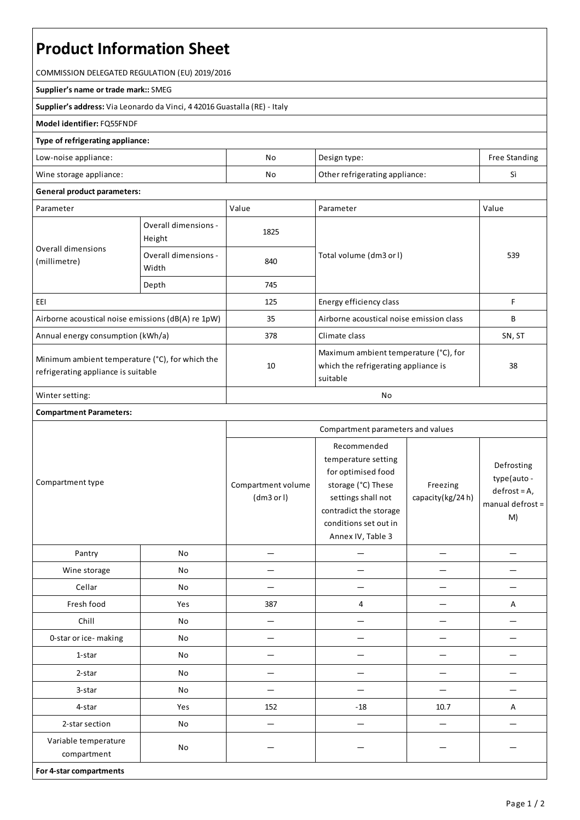# **Product Information Sheet**

COMMISSION DELEGATED REGULATION (EU) 2019/2016

#### **Supplier's name or trade mark::**SMEG

**Supplier's address:** ViaLeonardo da Vinci, 4 42016 Guastalla(RE) - Italy

### **Model identifier:**FQ55FNDF

#### **Type of refrigerating appliance:**

| Low-noise appliance:    | No | Design type:                   | Free Standing |
|-------------------------|----|--------------------------------|---------------|
| Wine storage appliance: | No | Other refrigerating appliance: |               |

## **General product parameters:**

| Parameter                                                                              |                                | Value | Parameter                                                                                 | Value  |
|----------------------------------------------------------------------------------------|--------------------------------|-------|-------------------------------------------------------------------------------------------|--------|
| Overall dimensions<br>(millimetre)                                                     | Overall dimensions -<br>Height | 1825  |                                                                                           | 539    |
|                                                                                        | Overall dimensions -<br>Width  | 840   | Total volume (dm3 or I)                                                                   |        |
|                                                                                        | Depth                          | 745   |                                                                                           |        |
| EEI                                                                                    |                                | 125   | Energy efficiency class                                                                   | F      |
| Airborne acoustical noise emissions (dB(A) re 1pW)                                     |                                | 35    | Airborne acoustical noise emission class                                                  | B      |
| Annual energy consumption (kWh/a)                                                      |                                | 378   | Climate class                                                                             | SN, ST |
| Minimum ambient temperature (°C), for which the<br>refrigerating appliance is suitable |                                | 10    | Maximum ambient temperature (°C), for<br>which the refrigerating appliance is<br>suitable | 38     |
| Winter setting:                                                                        |                                | No    |                                                                                           |        |

## **Compartment Parameters:**

| Compartment type                    |     | Compartment parameters and values |                                                                                                                                                                              |                              |                                                                         |
|-------------------------------------|-----|-----------------------------------|------------------------------------------------------------------------------------------------------------------------------------------------------------------------------|------------------------------|-------------------------------------------------------------------------|
|                                     |     | Compartment volume<br>(dm3 or l)  | Recommended<br>temperature setting<br>for optimised food<br>storage (°C) These<br>settings shall not<br>contradict the storage<br>conditions set out in<br>Annex IV, Table 3 | Freezing<br>capacity(kg/24h) | Defrosting<br>type(auto -<br>$defrost = A,$<br>manual defrost $=$<br>M) |
| Pantry                              | No  |                                   |                                                                                                                                                                              |                              |                                                                         |
| Wine storage                        | No  |                                   |                                                                                                                                                                              |                              |                                                                         |
| Cellar                              | No  |                                   |                                                                                                                                                                              |                              |                                                                         |
| Fresh food                          | Yes | 387                               | 4                                                                                                                                                                            |                              | Α                                                                       |
| Chill                               | No  | $\overline{\phantom{0}}$          |                                                                                                                                                                              |                              |                                                                         |
| 0-star or ice-making                | No  |                                   |                                                                                                                                                                              |                              |                                                                         |
| 1-star                              | No  |                                   |                                                                                                                                                                              |                              |                                                                         |
| 2-star                              | No  |                                   |                                                                                                                                                                              |                              |                                                                         |
| 3-star                              | No  |                                   |                                                                                                                                                                              |                              |                                                                         |
| 4-star                              | Yes | 152                               | $-18$                                                                                                                                                                        | 10.7                         | Α                                                                       |
| 2-star section                      | No  |                                   |                                                                                                                                                                              |                              |                                                                         |
| Variable temperature<br>compartment | No  |                                   |                                                                                                                                                                              |                              |                                                                         |
| For 4-star compartments             |     |                                   |                                                                                                                                                                              |                              |                                                                         |